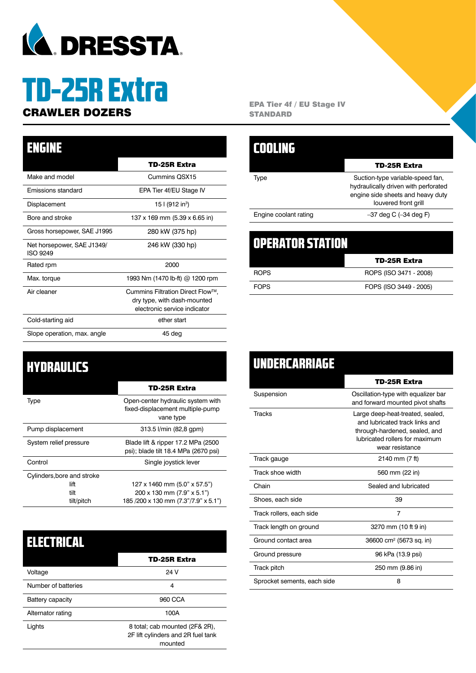

# TD-25R Extra

#### TD-25R Extra Make and model Cummins QSX15 Emissions standard EPA Tier 4f/EU Stage IV Displacement 15 | (912 in<sup>3</sup>) Bore and stroke 137 x 169 mm (5.39 x 6.65 in) Gross horsepower, SAE J1995 280 kW (375 hp) Net horsepower, SAE J1349/ ISO 9249 246 kW (330 hp) Rated rpm 2000 Max. torque 1993 Nm (1470 lb-ft) @ 1200 rpm Air cleaner Cummins Filtration Direct Flow™, dry type, with dash-mounted electronic service indicator Cold-starting aid ether start Slope operation, max. angle 45 deg ENGINE

### **HYDRAULICS**

|                                            | <b>TD-25R Extra</b>                                                                |
|--------------------------------------------|------------------------------------------------------------------------------------|
| Type                                       | Open-center hydraulic system with<br>fixed-displacement multiple-pump<br>vane type |
| Pump displacement                          | 313.5 l/min (82,8 gpm)                                                             |
| System relief pressure                     | Blade lift & ripper 17.2 MPa (2500)<br>psi); blade tilt 18.4 MPa (2670 psi)        |
| Control                                    | Single joystick lever                                                              |
| Cylinders, bore and stroke<br>lift<br>tilt | 127 x 1460 mm (5.0" x 57.5")<br>200 x 130 mm (7.9" x 5.1")                         |
| tilt/pitch                                 | 185/200 x 130 mm (7.3"/7.9" x 5.1")                                                |

| ISERRITAI           |                                                                                 |
|---------------------|---------------------------------------------------------------------------------|
|                     | TD-25R Extra                                                                    |
| Voltage             | 24 V                                                                            |
| Number of batteries | 4                                                                               |
| Battery capacity    | 960 CCA                                                                         |
| Alternator rating   | 100A                                                                            |
| Lights              | 8 total; cab mounted (2F& 2R),<br>2F lift cylinders and 2R fuel tank<br>mounted |

**CRAWLER DOZERS** EPA Tier 4f / EU Stage IV **STANDARD** 

| 11111111              |                                                                                                                                       |
|-----------------------|---------------------------------------------------------------------------------------------------------------------------------------|
|                       | TD-25R Extra                                                                                                                          |
| Type                  | Suction-type variable-speed fan,<br>hydraulically driven with perforated<br>engine side sheets and heavy duty<br>louvered front grill |
| Engine coolant rating | $-37$ deg C $(-34$ deg F)                                                                                                             |
|                       |                                                                                                                                       |
| IIR STA               |                                                                                                                                       |

| UPERATUR > IRTIUN |                        |
|-------------------|------------------------|
|                   | TD-25R Extra           |
| ROPS              | ROPS (ISO 3471 - 2008) |
| <b>FOPS</b>       | FOPS (ISO 3449 - 2005) |

| <b>UNDERCARRIAGE</b>        |                                                                                                                                                          |
|-----------------------------|----------------------------------------------------------------------------------------------------------------------------------------------------------|
|                             | TD-25R Extra                                                                                                                                             |
| Suspension                  | Oscillation-type with equalizer bar<br>and forward mounted pivot shafts                                                                                  |
| <b>Tracks</b>               | Large deep-heat-treated, sealed,<br>and lubricated track links and<br>through-hardened, sealed, and<br>lubricated rollers for maximum<br>wear resistance |
| Track gauge                 | 2140 mm (7 ft)                                                                                                                                           |
| Track shoe width            | 560 mm (22 in)                                                                                                                                           |
| Chain                       | Sealed and lubricated                                                                                                                                    |
| Shoes, each side            | 39                                                                                                                                                       |
| Track rollers, each side    | $\overline{7}$                                                                                                                                           |
| Track length on ground      | 3270 mm (10 ft 9 in)                                                                                                                                     |
| Ground contact area         | 36600 cm <sup>2</sup> (5673 sq. in)                                                                                                                      |
| Ground pressure             | 96 kPa (13.9 psi)                                                                                                                                        |
| Track pitch                 | 250 mm (9.86 in)                                                                                                                                         |
| Sprocket sements, each side | 8                                                                                                                                                        |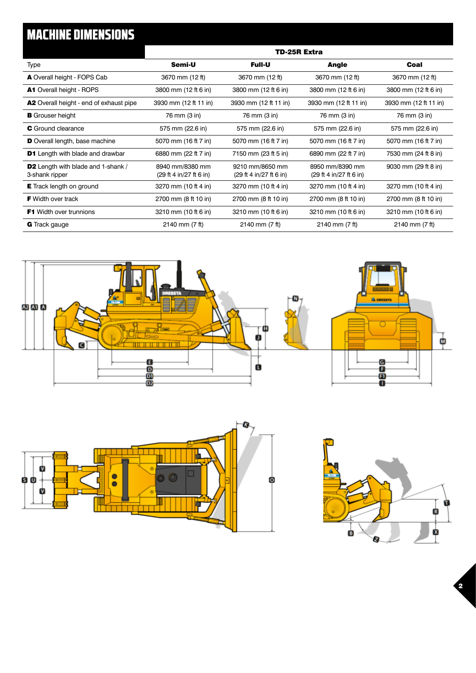# MACHINE DIMENSIONS

|                                                             | TD-25R Extra                               |                                            |                                            |                       |
|-------------------------------------------------------------|--------------------------------------------|--------------------------------------------|--------------------------------------------|-----------------------|
| Type                                                        | Semi-U                                     | <b>Full-U</b>                              | Angle                                      | Coal                  |
| A Overall height - FOPS Cab                                 | 3670 mm (12 ft)                            | 3670 mm (12 ft)                            | 3670 mm (12 ft)                            | 3670 mm (12 ft)       |
| <b>A1</b> Overall height - ROPS                             | 3800 mm (12 ft 6 in)                       | 3800 mm (12 ft 6 in)                       | 3800 mm (12 ft 6 in)                       | 3800 mm (12 ft 6 in)  |
| <b>A2</b> Overall height - end of exhaust pipe              | 3930 mm (12 ft 11 in)                      | 3930 mm (12 ft 11 in)                      | 3930 mm (12 ft 11 in)                      | 3930 mm (12 ft 11 in) |
| <b>B</b> Grouser height                                     | 76 mm (3 in)                               | 76 mm (3 in)                               | 76 mm (3 in)                               | 76 mm (3 in)          |
| <b>C</b> Ground clearance                                   | 575 mm (22.6 in)                           | 575 mm (22.6 in)                           | 575 mm (22.6 in)                           | 575 mm (22.6 in)      |
| <b>D</b> Overall length, base machine                       | 5070 mm (16 ft 7 in)                       | 5070 mm (16 ft 7 in)                       | 5070 mm (16 ft 7 in)                       | 5070 mm (16 ft 7 in)  |
| <b>D1</b> Length with blade and drawbar                     | 6880 mm (22 ft 7 in)                       | 7150 mm (23 ft 5 in)                       | 6890 mm (22 ft 7 in)                       | 7530 mm (24 ft 8 in)  |
| <b>D2</b> Length with blade and 1-shank /<br>3-shank ripper | 8940 mm/8380 mm<br>(29 ft 4 in/27 ft 6 in) | 9210 mm/8650 mm<br>(29 ft 4 in/27 ft 6 in) | 8950 mm/8390 mm<br>(29 ft 4 in/27 ft 6 in) | 9030 mm (29 ft 8 in)  |
| <b>E</b> Track length on ground                             | 3270 mm (10 ft 4 in)                       | 3270 mm (10 ft 4 in)                       | 3270 mm (10 ft 4 in)                       | 3270 mm (10 ft 4 in)  |
| <b>F</b> Width over track                                   | 2700 mm (8 ft 10 in)                       | 2700 mm (8 ft 10 in)                       | 2700 mm (8 ft 10 in)                       | 2700 mm (8 ft 10 in)  |
| <b>F1</b> Width over trunnions                              | 3210 mm (10 ft 6 in)                       | 3210 mm (10 ft 6 in)                       | 3210 mm (10 ft 6 in)                       | 3210 mm (10 ft 6 in)  |
| <b>G</b> Track gauge                                        | 2140 mm (7 ft)                             | 2140 mm (7 ft)                             | 2140 mm (7 ft)                             | 2140 mm (7 ft)        |







2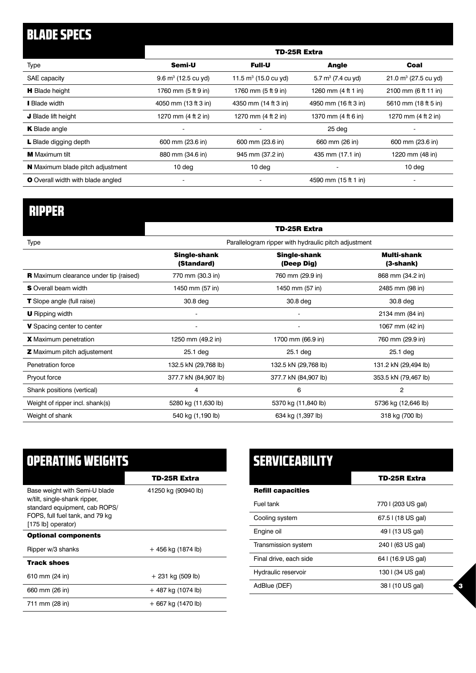# BLADE SPECS

|                                          | <b>TD-25R Extra</b>            |                          |                                        |                          |
|------------------------------------------|--------------------------------|--------------------------|----------------------------------------|--------------------------|
| Type                                     | Semi-U                         | <b>Full-U</b>            | <b>Angle</b>                           | Coal                     |
| SAE capacity                             | $9.6 \text{ m}^3$ (12.5 cu yd) | 11.5 $m^3$ (15.0 cu yd)  | 5.7 $m^3$ (7.4 cu yd)                  | 21.0 $m^3$ (27.5 cu yd)  |
| <b>H</b> Blade height                    | 1760 mm (5 ft 9 in)            | 1760 mm (5 ft 9 in)      | 1260 mm $(4 \text{ ft } 1 \text{ in})$ | 2100 mm (6 ft 11 in)     |
| <b>Blade width</b>                       | 4050 mm (13 ft 3 in)           | 4350 mm (14 ft 3 in)     | 4950 mm (16 ft 3 in)                   | 5610 mm (18 ft 5 in)     |
| J Blade lift height                      | 1270 mm (4 ft 2 in)            | 1270 mm (4 ft 2 in)      | 1370 mm (4 ft 6 in)                    | 1270 mm (4 ft 2 in)      |
| <b>K</b> Blade angle                     |                                | $\overline{\phantom{0}}$ | 25 deg                                 |                          |
| L Blade digging depth                    | 600 mm (23.6 in)               | 600 mm (23.6 in)         | 660 mm (26 in)                         | 600 mm (23.6 in)         |
| <b>M</b> Maximum tilt                    | 880 mm (34.6 in)               | 945 mm (37.2 in)         | 435 mm (17.1 in)                       | 1220 mm (48 in)          |
| <b>N</b> Maximum blade pitch adjustment  | 10 <sub>deq</sub>              | 10 deg                   |                                        | 10 <sub>deg</sub>        |
| <b>O</b> Overall width with blade angled |                                |                          | 4590 mm (15 ft 1 in)                   | $\overline{\phantom{a}}$ |

# RIPPER

|                                               |                                                      | <b>TD-25R Extra</b>               |                          |
|-----------------------------------------------|------------------------------------------------------|-----------------------------------|--------------------------|
| Type                                          | Parallelogram ripper with hydraulic pitch adjustment |                                   |                          |
|                                               | <b>Single-shank</b><br>(Standard)                    | <b>Single-shank</b><br>(Deep Dig) | Multi-shank<br>(3-shank) |
| <b>R</b> Maximum clearance under tip (raised) | 770 mm (30.3 in)                                     | 760 mm (29.9 in)                  | 868 mm (34.2 in)         |
| <b>S</b> Overall beam width                   | 1450 mm (57 in)                                      | 1450 mm (57 in)                   | 2485 mm (98 in)          |
| <b>T</b> Slope angle (full raise)             | 30.8 deg                                             | 30.8 deg                          | 30.8 deg                 |
| <b>U</b> Ripping width                        |                                                      |                                   | 2134 mm (84 in)          |
| V Spacing center to center                    | $\overline{\phantom{a}}$                             | $\overline{\phantom{a}}$          | 1067 mm (42 in)          |
| <b>X</b> Maximum penetration                  | 1250 mm (49.2 in)                                    | 1700 mm (66.9 in)                 | 760 mm (29.9 in)         |
| <b>Z</b> Maximum pitch adjustement            | $25.1$ deg                                           | 25.1 deg                          | $25.1$ deg               |
| Penetration force                             | 132.5 kN (29,768 lb)                                 | 132.5 kN (29,768 lb)              | 131.2 kN (29,494 lb)     |
| Pryout force                                  | 377.7 kN (84,907 lb)                                 | 377.7 kN (84,907 lb)              | 353.5 kN (79,467 lb)     |
| Shank positions (vertical)                    | 4                                                    | 6                                 | 2                        |
| Weight of ripper incl. shank(s)               | 5280 kg (11,630 lb)                                  | 5370 kg (11,840 lb)               | 5736 kg (12,646 lb)      |
| Weight of shank                               | 540 kg (1,190 lb)                                    | 634 kg (1,397 lb)                 | 318 kg (700 lb)          |
|                                               |                                                      |                                   |                          |

| <b>OPERATING WEIGHTS</b>                                                                                                                                |                     |
|---------------------------------------------------------------------------------------------------------------------------------------------------------|---------------------|
|                                                                                                                                                         | TD-25R Extra        |
| Base weight with Semi-U blade<br>w/tilt, single-shank ripper,<br>standard equipment, cab ROPS/<br>FOPS, full fuel tank, and 79 kg<br>[175 lb] operator) | 41250 kg (90940 lb) |
| <b>Optional components</b>                                                                                                                              |                     |
| Ripper w/3 shanks                                                                                                                                       | + 456 kg (1874 lb)  |
| <b>Track shoes</b>                                                                                                                                      |                     |
| 610 mm (24 in)                                                                                                                                          | $+ 231$ kg (509 lb) |
| 660 mm (26 in)                                                                                                                                          | + 487 kg (1074 lb)  |
| 711 mm (28 in)                                                                                                                                          | + 667 kg (1470 lb)  |

| <b>SERVICEABILITY</b>    |                    |  |
|--------------------------|--------------------|--|
|                          | TD-25R Extra       |  |
| <b>Refill capacities</b> |                    |  |
| Fuel tank                | 770 I (203 US gal) |  |
| Cooling system           | 67.5   (18 US gal) |  |
| Engine oil               | 49   (13 US gal)   |  |
| Transmission system      | 240   (63 US gal)  |  |
| Final drive, each side   | 64   (16.9 US gal) |  |
| Hydraulic reservoir      | 130   (34 US gal)  |  |
| AdBlue (DEF)             | 38   (10 US gal)   |  |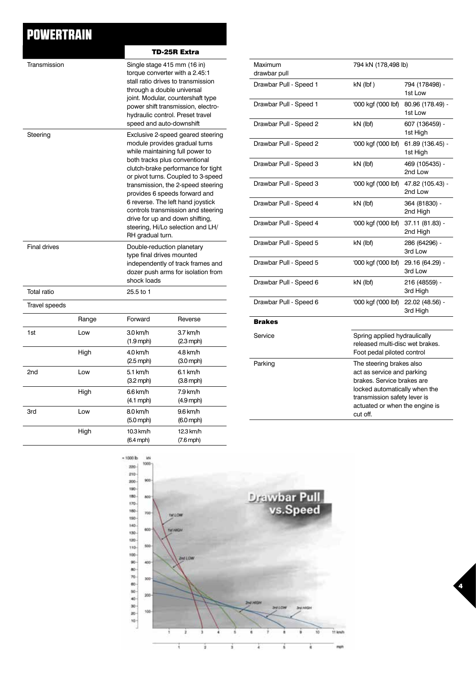## POWERTRAIN

|                      |       |                                                                                                                                                                                                                                                                                                                                                                                                                                                                  | TD-25R Extra                    |
|----------------------|-------|------------------------------------------------------------------------------------------------------------------------------------------------------------------------------------------------------------------------------------------------------------------------------------------------------------------------------------------------------------------------------------------------------------------------------------------------------------------|---------------------------------|
| Transmission         |       | Single stage 415 mm (16 in)<br>torque converter with a 2.45:1<br>stall ratio drives to transmission<br>through a double universal<br>joint. Modular, countershaft type<br>power shift transmission, electro-<br>hydraulic control. Preset travel<br>speed and auto-downshift                                                                                                                                                                                     |                                 |
| Steering             |       | Exclusive 2-speed geared steering<br>module provides gradual turns<br>while maintaining full power to<br>both tracks plus conventional<br>clutch-brake performance for tight<br>or pivot turns. Coupled to 3-speed<br>transmission, the 2-speed steering<br>provides 6 speeds forward and<br>6 reverse. The left hand joystick<br>controls transmission and steering<br>drive for up and down shifting,<br>steering, Hi/Lo selection and LH/<br>RH gradual turn. |                                 |
| <b>Final drives</b>  |       | Double-reduction planetary<br>type final drives mounted<br>independently of track frames and<br>dozer push arms for isolation from<br>shock loads                                                                                                                                                                                                                                                                                                                |                                 |
| Total ratio          |       | 25.5 to 1                                                                                                                                                                                                                                                                                                                                                                                                                                                        |                                 |
| <b>Travel speeds</b> |       |                                                                                                                                                                                                                                                                                                                                                                                                                                                                  |                                 |
|                      | Range | Forward                                                                                                                                                                                                                                                                                                                                                                                                                                                          | Reverse                         |
| 1st                  | Low   | 3.0 km/h<br>$(1.9$ mph)                                                                                                                                                                                                                                                                                                                                                                                                                                          | 3.7 km/h<br>$(2.3 \text{ mph})$ |
|                      | High  | 4.0 km/h<br>$(2.5 \text{ mph})$                                                                                                                                                                                                                                                                                                                                                                                                                                  | 4.8 km/h<br>$(3.0 \text{ mph})$ |
| 2 <sub>nd</sub>      | Low   | 5.1 km/h<br>$(3.2 \text{ mph})$                                                                                                                                                                                                                                                                                                                                                                                                                                  | $6.1$ km/h<br>$(3.8$ mph)       |
|                      | High  | 6.6 km/h<br>$(4.1$ mph)                                                                                                                                                                                                                                                                                                                                                                                                                                          | 7.9 km/h<br>$(4.9$ mph)         |
| 3rd                  | Low   | 8.0 km/h<br>$(5.0$ mph $)$                                                                                                                                                                                                                                                                                                                                                                                                                                       | 9.6 km/h<br>$(6.0$ mph $)$      |
|                      | High  | 10.3 km/h<br>$(6.4$ mph $)$                                                                                                                                                                                                                                                                                                                                                                                                                                      | 12.3 km/h<br>$(7.6$ mph)        |

| Maximum<br>drawbar pull | 794 kN (178,498 lb)                                                                                                                                                                                 |                              |
|-------------------------|-----------------------------------------------------------------------------------------------------------------------------------------------------------------------------------------------------|------------------------------|
| Drawbar Pull - Speed 1  | $kN$ (lbf)                                                                                                                                                                                          | 794 (178498) -<br>1st Low    |
| Drawbar Pull - Speed 1  | '000 kgf ('000 lbf)                                                                                                                                                                                 | 80.96 (178.49) -<br>1st Low  |
| Drawbar Pull - Speed 2  | kN (lbf)                                                                                                                                                                                            | 607 (136459) -<br>1st High   |
| Drawbar Pull - Speed 2  | '000 kgf ('000 lbf)                                                                                                                                                                                 | 61.89 (136.45) -<br>1st High |
| Drawbar Pull - Speed 3  | kN (lbf)                                                                                                                                                                                            | 469 (105435) -<br>2nd Low    |
| Drawbar Pull - Speed 3  | '000 kgf ('000 lbf)                                                                                                                                                                                 | 47.82 (105.43) -<br>2nd Low  |
| Drawbar Pull - Speed 4  | kN (lbf)                                                                                                                                                                                            | 364 (81830) -<br>2nd High    |
| Drawbar Pull - Speed 4  | '000 kgf ('000 lbf)                                                                                                                                                                                 | 37.11 (81.83) -<br>2nd High  |
| Drawbar Pull - Speed 5  | kN (lbf)                                                                                                                                                                                            | 286 (64296) -<br>3rd Low     |
| Drawbar Pull - Speed 5  | '000 kgf ('000 lbf)                                                                                                                                                                                 | 29.16 (64.29) -<br>3rd Low   |
| Drawbar Pull - Speed 6  | kN (lbf)                                                                                                                                                                                            | 216 (48559) -<br>3rd High    |
| Drawbar Pull - Speed 6  | '000 kgf ('000 lbf)                                                                                                                                                                                 | 22.02 (48.56) -<br>3rd High  |
| <b>Brakes</b>           |                                                                                                                                                                                                     |                              |
| Service                 | Spring applied hydraulically<br>released multi-disc wet brakes.<br>Foot pedal piloted control                                                                                                       |                              |
| Parking                 | The steering brakes also<br>act as service and parking<br>brakes. Service brakes are<br>locked automatically when the<br>transmission safety lever is<br>actuated or when the engine is<br>cut off. |                              |

4

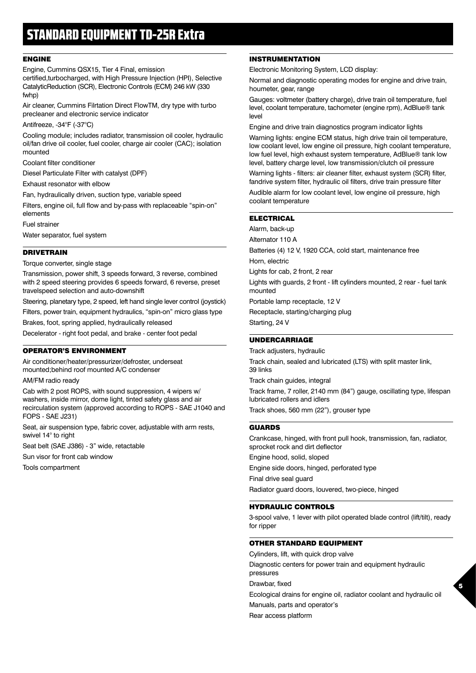### STANDARD EQUIPMENT TD-25R Extra

#### ENGINE

Engine, Cummins QSX15, Tier 4 Final, emission certified,turbocharged, with High Pressure Injection (HPI), Selective CatalyticReduction (SCR), Electronic Controls (ECM) 246 kW (330 fwhp)

Air cleaner, Cummins Filrtation Direct FlowTM, dry type with turbo precleaner and electronic service indicator

Antifreeze, -34°F (-37°C)

Cooling module; includes radiator, transmission oil cooler, hydraulic oil/fan drive oil cooler, fuel cooler, charge air cooler (CAC); isolation mounted

Coolant filter conditioner

Diesel Particulate Filter with catalyst (DPF)

Exhaust resonator with elbow

Fan, hydraulically driven, suction type, variable speed

Filters, engine oil, full flow and by-pass with replaceable "spin-on" elements

Fuel strainer

Water separator, fuel system

#### **DRIVETRAIN**

#### Torque converter, single stage

Transmission, power shift, 3 speeds forward, 3 reverse, combined with 2 speed steering provides 6 speeds forward, 6 reverse, preset travelspeed selection and auto-downshift

Steering, planetary type, 2 speed, left hand single lever control (joystick)

Filters, power train, equipment hydraulics, "spin-on" micro glass type Brakes, foot, spring applied, hydraulically released

Decelerator - right foot pedal, and brake - center foot pedal

#### OPERATOR'S ENVIRONMENT

Air conditioner/heater/pressurizer/defroster, underseat mounted;behind roof mounted A/C condenser

AM/FM radio ready

Cab with 2 post ROPS, with sound suppression, 4 wipers w/ washers, inside mirror, dome light, tinted safety glass and air recirculation system (approved according to ROPS - SAE J1040 and FOPS - SAE J231)

Seat, air suspension type, fabric cover, adjustable with arm rests, swivel 14° to right

Seat belt (SAE J386) - 3" wide, retactable

Sun visor for front cab window

Tools compartment

#### INSTRUMENTATION

Electronic Monitoring System, LCD display:

Normal and diagnostic operating modes for engine and drive train, houmeter, gear, range

Gauges: voltmeter (battery charge), drive train oil temperature, fuel level, coolant temperature, tachometer (engine rpm), AdBlue® tank level

Engine and drive train diagnostics program indicator lights

Warning lights: engine ECM status, high drive train oil temperature, low coolant level, low engine oil pressure, high coolant temperature, low fuel level, high exhaust system temperature, AdBlue® tank low level, battery charge level, low transmission/clutch oil pressure

Warning lights - filters: air cleaner filter, exhaust system (SCR) filter, fandrive system filter, hydraulic oil filters, drive train pressure filter

Audible alarm for low coolant level, low engine oil pressure, high coolant temperature

#### **ELECTRICAL**

Alarm, back-up

Alternator 110 A

Batteries (4) 12 V, 1920 CCA, cold start, maintenance free

Horn, electric

Lights for cab, 2 front, 2 rear

Lights with guards, 2 front - lift cylinders mounted, 2 rear - fuel tank mounted

Portable lamp receptacle, 12 V

Receptacle, starting/charging plug

Starting, 24 V

#### UNDERCARRIAGE

Track adjusters, hydraulic Track chain, sealed and lubricated (LTS) with split master link, 39 links Track chain guides, integral Track frame, 7 roller, 2140 mm (84") gauge, oscillating type, lifespan lubricated rollers and idlers Track shoes, 560 mm (22"), grouser type

#### GUARDS

Crankcase, hinged, with front pull hook, transmission, fan, radiator, sprocket rock and dirt deflector

Engine hood, solid, sloped

Engine side doors, hinged, perforated type

Final drive seal guard

Radiator guard doors, louvered, two-piece, hinged

#### HYDRAULIC CONTROLS

3-spool valve, 1 lever with pilot operated blade control (lift/tilt), ready for ripper

#### OTHER STANDARD EQUIPMENT

Cylinders, lift, with quick drop valve Diagnostic centers for power train and equipment hydraulic pressures Drawbar, fixed Ecological drains for engine oil, radiator coolant and hydraulic oil Manuals, parts and operator's Rear access platform

5